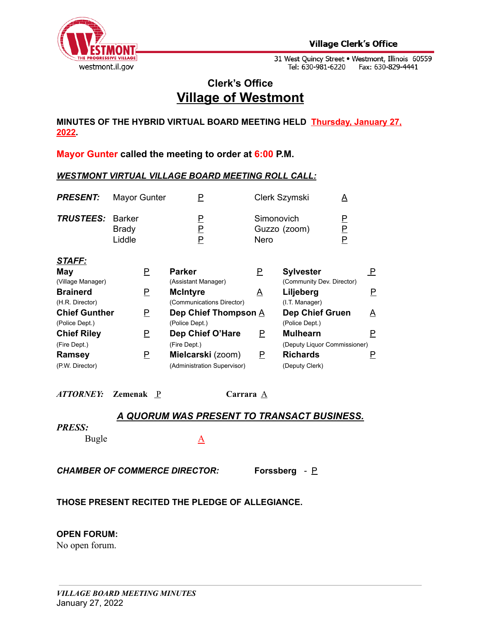

# **Clerk's Office Village of Westmont**

**MINUTES OF THE HYBRID VIRTUAL BOARD MEETING HELD Thursday, January 27, 2022.**

**Mayor Gunter called the meeting to order at 6:00 P.M.**

#### *WESTMONT VIRTUAL VILLAGE BOARD MEETING ROLL CALL:*

| <b>PRESENT:</b>         | <b>Mayor Gunter</b>    |             | Clerk Szymski                      | A |
|-------------------------|------------------------|-------------|------------------------------------|---|
| <b>TRUSTEES: Barker</b> | <b>Brady</b><br>Liddle | P<br>P<br>P | Simonovich<br>Guzzo (zoom)<br>Nero | P |
| CTAFF.                  |                        |             |                                    |   |

| May                  |   | <b>Parker</b>               | Ρ | <b>Sylvester</b>             |                 |
|----------------------|---|-----------------------------|---|------------------------------|-----------------|
| (Village Manager)    |   | (Assistant Manager)         |   | (Community Dev. Director)    |                 |
| <b>Brainerd</b>      | Ρ | <b>McIntyre</b>             | A | Liljeberg                    |                 |
| (H.R. Director)      |   | (Communications Director)   |   | (I.T. Manager)               |                 |
| <b>Chief Gunther</b> | Р | Dep Chief Thompson A        |   | <b>Dep Chief Gruen</b>       | $\underline{A}$ |
| (Police Dept.)       |   | (Police Dept.)              |   | (Police Dept.)               |                 |
| <b>Chief Riley</b>   |   | Dep Chief O'Hare            | Ρ | <b>Mulhearn</b>              |                 |
| (Fire Dept.)         |   | (Fire Dept.)                |   | (Deputy Liquor Commissioner) |                 |
| <b>Ramsey</b>        | Р | Mielcarski (zoom)           | Ρ | <b>Richards</b>              |                 |
| (P.W. Director)      |   | (Administration Supervisor) |   | (Deputy Clerk)               |                 |

*ATTORNEY:* **Zemenak** P **Carrara** A

## *A QUORUM WAS PRESENT TO TRANSACT BUSINESS.*

#### *PRESS:*

Bugle A

*CHAMBER OF COMMERCE DIRECTOR:* **Forssberg** *-* P

## **THOSE PRESENT RECITED THE PLEDGE OF ALLEGIANCE.**

#### **OPEN FORUM:**

No open forum.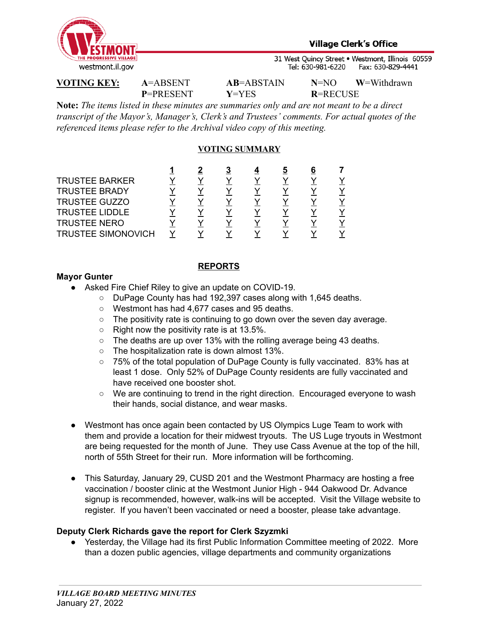

**P**=PRESENT **Y**=YES **R**=RECUSE

**VOTING KEY: A**=ABSENT **AB**=ABSTAIN **N**=NO **W**=Withdrawn

**Note:** *The items listed in these minutes are summaries only and are not meant to be a direct transcript of the Mayor's, Manager's, Clerk's and Trustees' comments. For actual quotes of the referenced items please refer to the Archival video copy of this meeting.*

## **VOTING SUMMARY**

| <b>TRUSTEE BARKER</b>     |  |  |  |  |
|---------------------------|--|--|--|--|
| <b>TRUSTEE BRADY</b>      |  |  |  |  |
| <b>TRUSTEE GUZZO</b>      |  |  |  |  |
| <b>TRUSTEE LIDDLE</b>     |  |  |  |  |
| <b>TRUSTEE NERO</b>       |  |  |  |  |
| <b>TRUSTEE SIMONOVICH</b> |  |  |  |  |

### **REPORTS**

### **Mayor Gunter**

- Asked Fire Chief Riley to give an update on COVID-19.
	- DuPage County has had 192,397 cases along with 1,645 deaths.
	- Westmont has had 4,677 cases and 95 deaths.
	- The positivity rate is continuing to go down over the seven day average.
	- $\circ$  Right now the positivity rate is at 13.5%.
	- The deaths are up over 13% with the rolling average being 43 deaths.
	- The hospitalization rate is down almost 13%.
	- 75% of the total population of DuPage County is fully vaccinated. 83% has at least 1 dose. Only 52% of DuPage County residents are fully vaccinated and have received one booster shot.
	- We are continuing to trend in the right direction. Encouraged everyone to wash their hands, social distance, and wear masks.
- Westmont has once again been contacted by US Olympics Luge Team to work with them and provide a location for their midwest tryouts. The US Luge tryouts in Westmont are being requested for the month of June. They use Cass Avenue at the top of the hill, north of 55th Street for their run. More information will be forthcoming.
- This Saturday, January 29, CUSD 201 and the Westmont Pharmacy are hosting a free vaccination / booster clinic at the Westmont Junior High - 944 Oakwood Dr. Advance signup is recommended, however, walk-ins will be accepted. Visit the Village website to register. If you haven't been vaccinated or need a booster, please take advantage.

## **Deputy Clerk Richards gave the report for Clerk Szyzmki**

● Yesterday, the Village had its first Public Information Committee meeting of 2022. More than a dozen public agencies, village departments and community organizations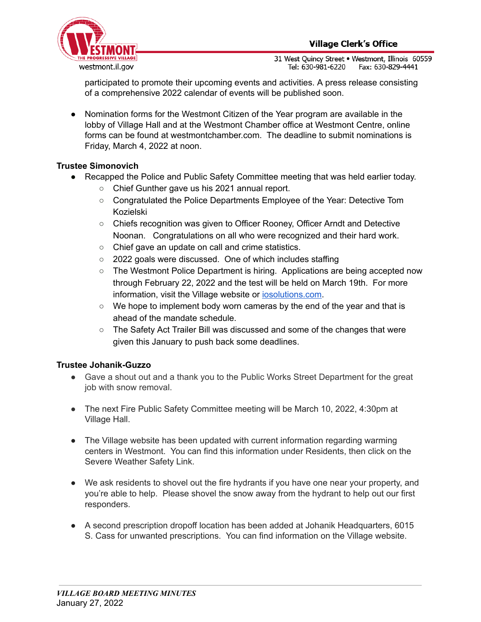

participated to promote their upcoming events and activities. A press release consisting of a comprehensive 2022 calendar of events will be published soon.

● Nomination forms for the Westmont Citizen of the Year program are available in the lobby of Village Hall and at the Westmont Chamber office at Westmont Centre, online forms can be found at westmontchamber.com. The deadline to submit nominations is Friday, March 4, 2022 at noon.

## **Trustee Simonovich**

- **●** Recapped the Police and Public Safety Committee meeting that was held earlier today.
	- **○** Chief Gunther gave us his 2021 annual report.
	- **○** Congratulated the Police Departments Employee of the Year: Detective Tom Kozielski
	- **○** Chiefs recognition was given to Officer Rooney, Officer Arndt and Detective Noonan. Congratulations on all who were recognized and their hard work.
	- Chief gave an update on call and crime statistics.
	- 2022 goals were discussed. One of which includes staffing
	- **○** The Westmont Police Department is hiring. Applications are being accepted now through February 22, 2022 and the test will be held on March 19th. For more information, visit the Village website or [iosolutions.com.](http://iosolutions.com/)
	- $\circ$  We hope to implement body worn cameras by the end of the year and that is ahead of the mandate schedule.
	- The Safety Act Trailer Bill was discussed and some of the changes that were given this January to push back some deadlines.

## **Trustee Johanik-Guzzo**

- **●** Gave a shout out and a thank you to the Public Works Street Department for the great job with snow removal.
- **●** The next Fire Public Safety Committee meeting will be March 10, 2022, 4:30pm at Village Hall.
- The Village website has been updated with current information regarding warming centers in Westmont. You can find this information under Residents, then click on the Severe Weather Safety Link.
- We ask residents to shovel out the fire hydrants if you have one near your property, and you're able to help. Please shovel the snow away from the hydrant to help out our first responders.
- A second prescription dropoff location has been added at Johanik Headquarters, 6015 S. Cass for unwanted prescriptions. You can find information on the Village website.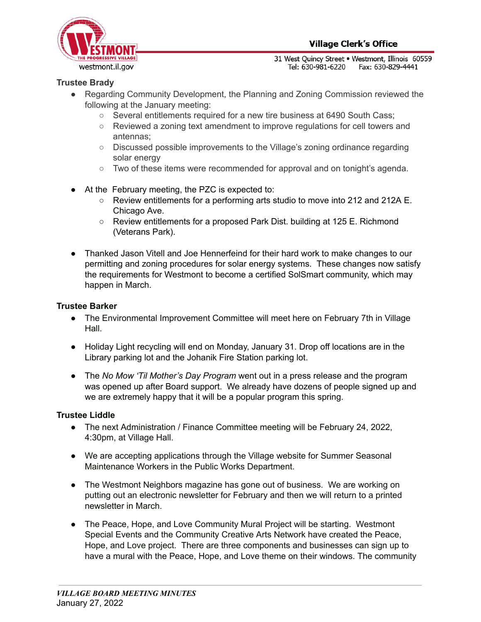

## **Trustee Brady**

- **●** Regarding Community Development, the Planning and Zoning Commission reviewed the following at the January meeting:
	- **○** Several entitlements required for a new tire business at 6490 South Cass;
	- **○** Reviewed a zoning text amendment to improve regulations for cell towers and antennas;
	- **○** Discussed possible improvements to the Village's zoning ordinance regarding solar energy
	- **○** Two of these items were recommended for approval and on tonight's agenda.
- At the February meeting, the PZC is expected to:
	- Review entitlements for a performing arts studio to move into 212 and 212A E. Chicago Ave.
	- Review entitlements for a proposed Park Dist. building at 125 E. Richmond (Veterans Park).
- Thanked Jason Vitell and Joe Hennerfeind for their hard work to make changes to our permitting and zoning procedures for solar energy systems. These changes now satisfy the requirements for Westmont to become a certified SolSmart community, which may happen in March.

## **Trustee Barker**

- The Environmental Improvement Committee will meet here on February 7th in Village Hall.
- Holiday Light recycling will end on Monday, January 31. Drop off locations are in the Library parking lot and the Johanik Fire Station parking lot.
- The *No Mow 'Til Mother's Day Program* went out in a press release and the program was opened up after Board support. We already have dozens of people signed up and we are extremely happy that it will be a popular program this spring.

## **Trustee Liddle**

- **●** The next Administration / Finance Committee meeting will be February 24, 2022, 4:30pm, at Village Hall.
- We are accepting applications through the Village website for Summer Seasonal Maintenance Workers in the Public Works Department.
- The Westmont Neighbors magazine has gone out of business. We are working on putting out an electronic newsletter for February and then we will return to a printed newsletter in March.
- The Peace, Hope, and Love Community Mural Project will be starting. Westmont Special Events and the Community Creative Arts Network have created the Peace, Hope, and Love project. There are three components and businesses can sign up to have a mural with the Peace, Hope, and Love theme on their windows. The community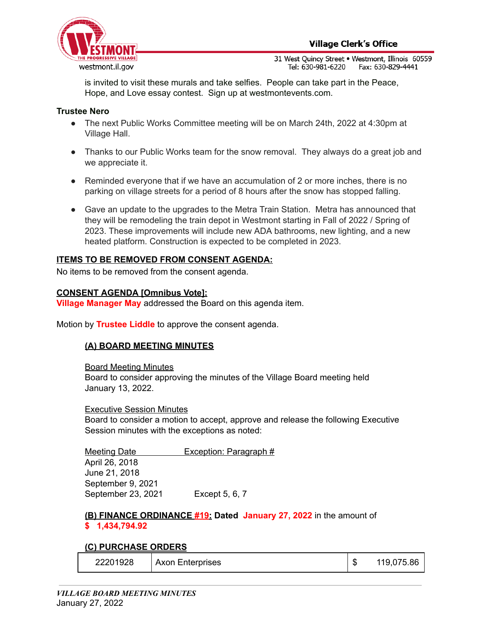

is invited to visit these murals and take selfies. People can take part in the Peace, Hope, and Love essay contest. Sign up at westmontevents.com.

### **Trustee Nero**

- The next Public Works Committee meeting will be on March 24th, 2022 at 4:30pm at Village Hall.
- Thanks to our Public Works team for the snow removal. They always do a great job and we appreciate it.
- **●** Reminded everyone that if we have an accumulation of 2 or more inches, there is no parking on village streets for a period of 8 hours after the snow has stopped falling.
- **●** Gave an update to the upgrades to the Metra Train Station. Metra has announced that they will be remodeling the train depot in Westmont starting in Fall of 2022 / Spring of 2023. These improvements will include new ADA bathrooms, new lighting, and a new heated platform. Construction is expected to be completed in 2023.

#### **ITEMS TO BE REMOVED FROM CONSENT AGENDA:**

No items to be removed from the consent agenda.

#### **CONSENT AGENDA [Omnibus Vote]:**

**Village Manager May** addressed the Board on this agenda item.

Motion by **Trustee Liddle** to approve the consent agenda.

#### **(A) BOARD MEETING MINUTES**

Board Meeting Minutes Board to consider approving the minutes of the Village Board meeting held January 13, 2022.

#### Executive Session Minutes

Board to consider a motion to accept, approve and release the following Executive Session minutes with the exceptions as noted:

Meeting Date **Exception: Paragraph** # April 26, 2018 June 21, 2018 September 9, 2021 September 23, 2021 Except 5, 6, 7

**(B) FINANCE ORDINANCE #19: Dated January 27, 2022** in the amount of **\$ 1,434,794.92**

#### **(C) PURCHASE ORDERS**

| 22201928 | Axon Enterprises |  | 119,075.86 |
|----------|------------------|--|------------|
|----------|------------------|--|------------|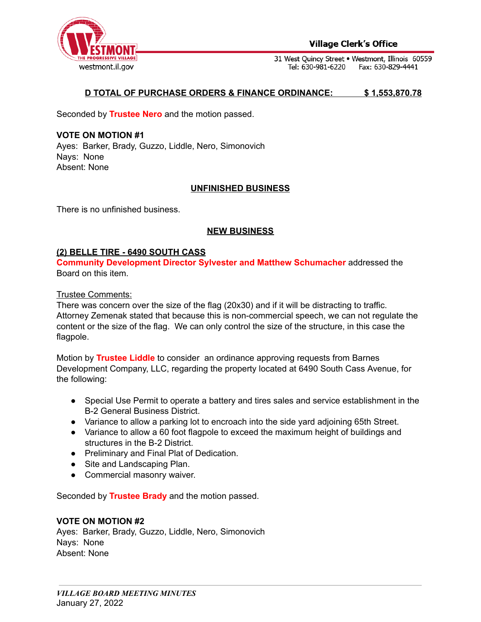

#### **Village Clerk's Office**

31 West Quincy Street . Westmont, Illinois 60559 Tel: 630-981-6220 Fax: 630-829-4441

### **D TOTAL OF PURCHASE ORDERS & FINANCE ORDINANCE: \$ 1,553,870.78**

Seconded by **Trustee Nero** and the motion passed.

**VOTE ON MOTION #1** Ayes: Barker, Brady, Guzzo, Liddle, Nero, Simonovich Nays: None Absent: None

#### **UNFINISHED BUSINESS**

There is no unfinished business.

#### **NEW BUSINESS**

#### **(2) BELLE TIRE - 6490 SOUTH CASS**

**Community Development Director Sylvester and Matthew Schumacher** addressed the Board on this item.

Trustee Comments:

There was concern over the size of the flag (20x30) and if it will be distracting to traffic. Attorney Zemenak stated that because this is non-commercial speech, we can not regulate the content or the size of the flag. We can only control the size of the structure, in this case the flagpole.

Motion by **Trustee Liddle** to consider an ordinance approving requests from Barnes Development Company, LLC, regarding the property located at 6490 South Cass Avenue, for the following:

- Special Use Permit to operate a battery and tires sales and service establishment in the B-2 General Business District.
- Variance to allow a parking lot to encroach into the side yard adjoining 65th Street.
- Variance to allow a 60 foot flagpole to exceed the maximum height of buildings and structures in the B-2 District.
- Preliminary and Final Plat of Dedication.
- Site and Landscaping Plan.
- Commercial masonry waiver.

Seconded by **Trustee Brady** and the motion passed.

#### **VOTE ON MOTION #2**

Ayes: Barker, Brady, Guzzo, Liddle, Nero, Simonovich Nays: None Absent: None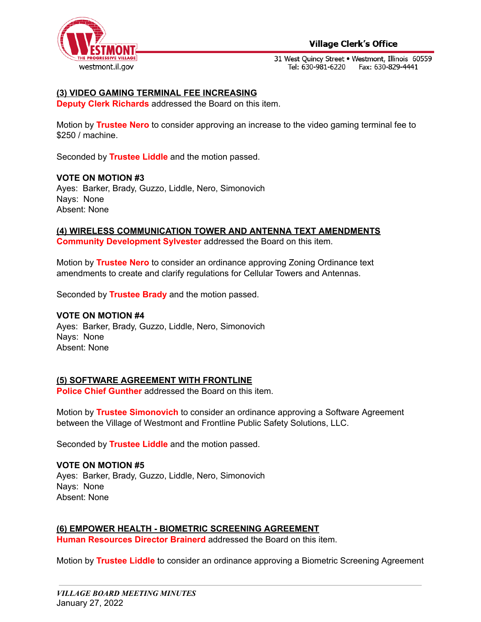

## **Village Clerk's Office**

31 West Quincy Street . Westmont, Illinois 60559 Tel: 630-981-6220 Fax: 630-829-4441

## **(3) VIDEO GAMING TERMINAL FEE INCREASING**

**Deputy Clerk Richards** addressed the Board on this item.

Motion by **Trustee Nero** to consider approving an increase to the video gaming terminal fee to \$250 / machine.

Seconded by **Trustee Liddle** and the motion passed.

#### **VOTE ON MOTION #3**

Ayes: Barker, Brady, Guzzo, Liddle, Nero, Simonovich Nays: None Absent: None

**(4) WIRELESS COMMUNICATION TOWER AND ANTENNA TEXT AMENDMENTS**

**Community Development Sylvester** addressed the Board on this item.

Motion by **Trustee Nero** to consider an ordinance approving Zoning Ordinance text amendments to create and clarify regulations for Cellular Towers and Antennas.

Seconded by **Trustee Brady** and the motion passed.

#### **VOTE ON MOTION #4**

Ayes: Barker, Brady, Guzzo, Liddle, Nero, Simonovich Nays: None Absent: None

#### **(5) SOFTWARE AGREEMENT WITH FRONTLINE**

**Police Chief Gunther** addressed the Board on this item.

Motion by **Trustee Simonovich** to consider an ordinance approving a Software Agreement between the Village of Westmont and Frontline Public Safety Solutions, LLC.

Seconded by **Trustee Liddle** and the motion passed.

**VOTE ON MOTION #5** Ayes: Barker, Brady, Guzzo, Liddle, Nero, Simonovich Nays: None Absent: None

**(6) EMPOWER HEALTH - BIOMETRIC SCREENING AGREEMENT**

**Human Resources Director Brainerd** addressed the Board on this item.

Motion by **Trustee Liddle** to consider an ordinance approving a Biometric Screening Agreement